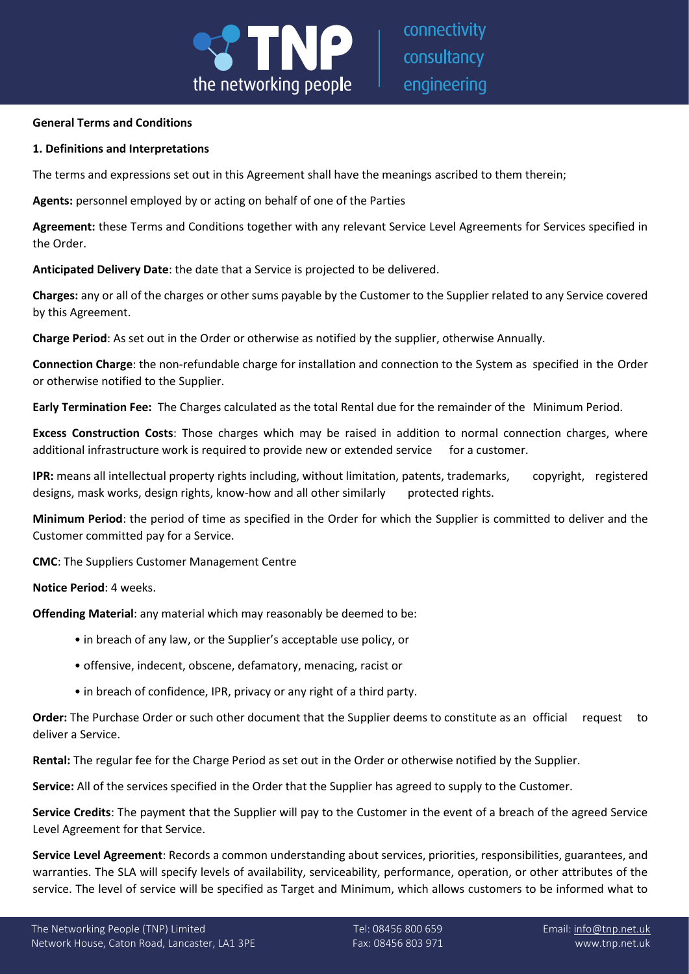

connectivity consultancy engineering

### **General Terms and Conditions**

### **1. Definitions and Interpretations**

The terms and expressions set out in this Agreement shall have the meanings ascribed to them therein;

**Agents:** personnel employed by or acting on behalf of one of the Parties

**Agreement:** these Terms and Conditions together with any relevant Service Level Agreements for Services specified in the Order.

**Anticipated Delivery Date**: the date that a Service is projected to be delivered.

**Charges:** any or all of the charges or other sums payable by the Customer to the Supplier related to any Service covered by this Agreement.

**Charge Period**: As set out in the Order or otherwise as notified by the supplier, otherwise Annually.

**Connection Charge**: the non-refundable charge for installation and connection to the System as specified in the Order or otherwise notified to the Supplier.

**Early Termination Fee:** The Charges calculated as the total Rental due for the remainder of the Minimum Period.

**Excess Construction Costs**: Those charges which may be raised in addition to normal connection charges, where additional infrastructure work is required to provide new or extended service for a customer.

**IPR:** means all intellectual property rights including, without limitation, patents, trademarks, copyright, registered designs, mask works, design rights, know-how and all other similarly protected rights.

**Minimum Period**: the period of time as specified in the Order for which the Supplier is committed to deliver and the Customer committed pay for a Service.

**CMC**: The Suppliers Customer Management Centre

**Notice Period**: 4 weeks.

**Offending Material**: any material which may reasonably be deemed to be:

- in breach of any law, or the Supplier's acceptable use policy, or
- offensive, indecent, obscene, defamatory, menacing, racist or
- in breach of confidence, IPR, privacy or any right of a third party.

**Order:** The Purchase Order or such other document that the Supplier deems to constitute as an official request to deliver a Service.

**Rental:** The regular fee for the Charge Period as set out in the Order or otherwise notified by the Supplier.

**Service:** All of the services specified in the Order that the Supplier has agreed to supply to the Customer.

**Service Credits**: The payment that the Supplier will pay to the Customer in the event of a breach of the agreed Service Level Agreement for that Service.

**Service Level Agreement**: Records a common understanding about services, priorities, responsibilities, guarantees, and warranties. The SLA will specify levels of availability, serviceability, performance, operation, or other attributes of the service. The level of service will be specified as Target and Minimum, which allows customers to be informed what to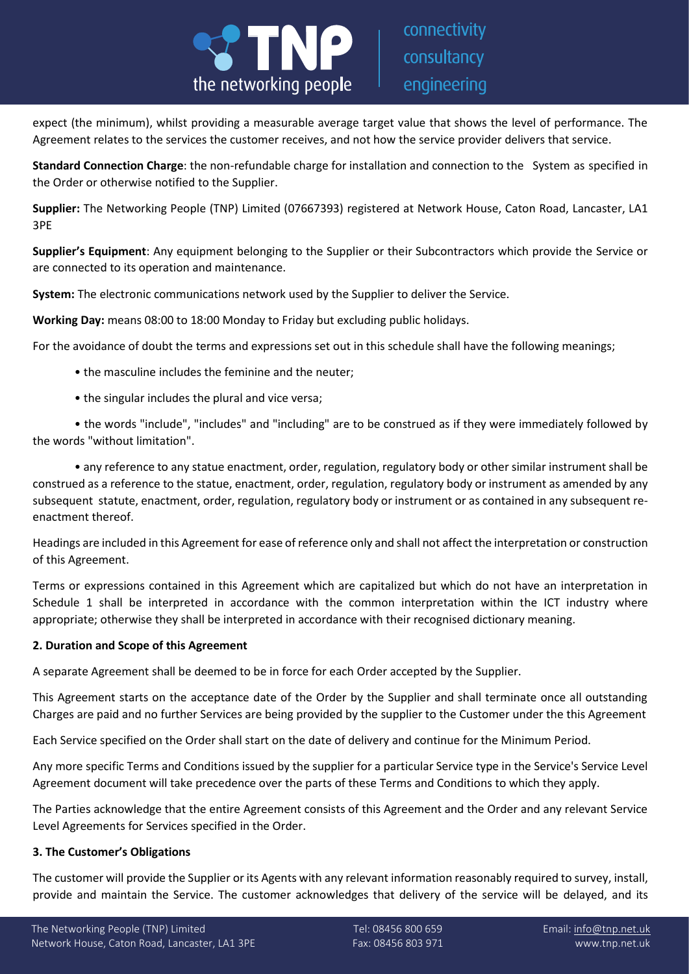

expect (the minimum), whilst providing a measurable average target value that shows the level of performance. The Agreement relates to the services the customer receives, and not how the service provider delivers that service.

**Standard Connection Charge**: the non-refundable charge for installation and connection to the System as specified in the Order or otherwise notified to the Supplier.

**Supplier:** The Networking People (TNP) Limited (07667393) registered at Network House, Caton Road, Lancaster, LA1 3PE

**Supplier's Equipment**: Any equipment belonging to the Supplier or their Subcontractors which provide the Service or are connected to its operation and maintenance.

**System:** The electronic communications network used by the Supplier to deliver the Service.

**Working Day:** means 08:00 to 18:00 Monday to Friday but excluding public holidays.

For the avoidance of doubt the terms and expressions set out in this schedule shall have the following meanings;

- the masculine includes the feminine and the neuter;
- the singular includes the plural and vice versa;

• the words "include", "includes" and "including" are to be construed as if they were immediately followed by the words "without limitation".

• any reference to any statue enactment, order, regulation, regulatory body or other similar instrument shall be construed as a reference to the statue, enactment, order, regulation, regulatory body or instrument as amended by any subsequent statute, enactment, order, regulation, regulatory body or instrument or as contained in any subsequent reenactment thereof.

Headings are included in this Agreement for ease of reference only and shall not affect the interpretation or construction of this Agreement.

Terms or expressions contained in this Agreement which are capitalized but which do not have an interpretation in Schedule 1 shall be interpreted in accordance with the common interpretation within the ICT industry where appropriate; otherwise they shall be interpreted in accordance with their recognised dictionary meaning.

### **2. Duration and Scope of this Agreement**

A separate Agreement shall be deemed to be in force for each Order accepted by the Supplier.

This Agreement starts on the acceptance date of the Order by the Supplier and shall terminate once all outstanding Charges are paid and no further Services are being provided by the supplier to the Customer under the this Agreement

Each Service specified on the Order shall start on the date of delivery and continue for the Minimum Period.

Any more specific Terms and Conditions issued by the supplier for a particular Service type in the Service's Service Level Agreement document will take precedence over the parts of these Terms and Conditions to which they apply.

The Parties acknowledge that the entire Agreement consists of this Agreement and the Order and any relevant Service Level Agreements for Services specified in the Order.

# **3. The Customer's Obligations**

The customer will provide the Supplier or its Agents with any relevant information reasonably required to survey, install, provide and maintain the Service. The customer acknowledges that delivery of the service will be delayed, and its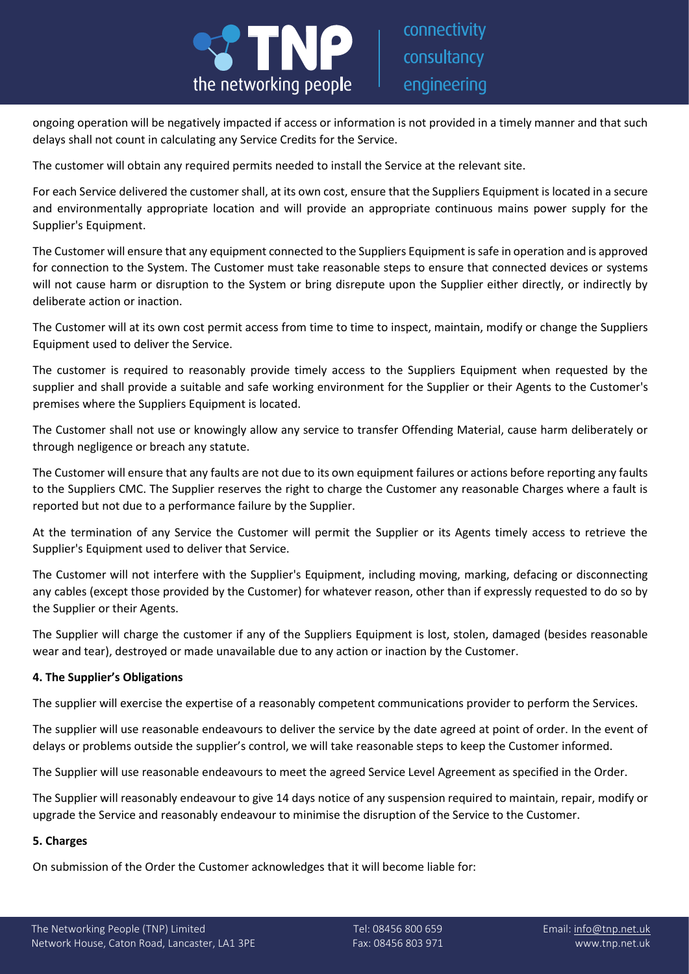

ongoing operation will be negatively impacted if access or information is not provided in a timely manner and that such delays shall not count in calculating any Service Credits for the Service.

The customer will obtain any required permits needed to install the Service at the relevant site.

For each Service delivered the customer shall, at its own cost, ensure that the Suppliers Equipment is located in a secure and environmentally appropriate location and will provide an appropriate continuous mains power supply for the Supplier's Equipment.

The Customer will ensure that any equipment connected to the Suppliers Equipment is safe in operation and is approved for connection to the System. The Customer must take reasonable steps to ensure that connected devices or systems will not cause harm or disruption to the System or bring disrepute upon the Supplier either directly, or indirectly by deliberate action or inaction.

The Customer will at its own cost permit access from time to time to inspect, maintain, modify or change the Suppliers Equipment used to deliver the Service.

The customer is required to reasonably provide timely access to the Suppliers Equipment when requested by the supplier and shall provide a suitable and safe working environment for the Supplier or their Agents to the Customer's premises where the Suppliers Equipment is located.

The Customer shall not use or knowingly allow any service to transfer Offending Material, cause harm deliberately or through negligence or breach any statute.

The Customer will ensure that any faults are not due to its own equipment failures or actions before reporting any faults to the Suppliers CMC. The Supplier reserves the right to charge the Customer any reasonable Charges where a fault is reported but not due to a performance failure by the Supplier.

At the termination of any Service the Customer will permit the Supplier or its Agents timely access to retrieve the Supplier's Equipment used to deliver that Service.

The Customer will not interfere with the Supplier's Equipment, including moving, marking, defacing or disconnecting any cables (except those provided by the Customer) for whatever reason, other than if expressly requested to do so by the Supplier or their Agents.

The Supplier will charge the customer if any of the Suppliers Equipment is lost, stolen, damaged (besides reasonable wear and tear), destroyed or made unavailable due to any action or inaction by the Customer.

# **4. The Supplier's Obligations**

The supplier will exercise the expertise of a reasonably competent communications provider to perform the Services.

The supplier will use reasonable endeavours to deliver the service by the date agreed at point of order. In the event of delays or problems outside the supplier's control, we will take reasonable steps to keep the Customer informed.

The Supplier will use reasonable endeavours to meet the agreed Service Level Agreement as specified in the Order.

The Supplier will reasonably endeavour to give 14 days notice of any suspension required to maintain, repair, modify or upgrade the Service and reasonably endeavour to minimise the disruption of the Service to the Customer.

### **5. Charges**

On submission of the Order the Customer acknowledges that it will become liable for: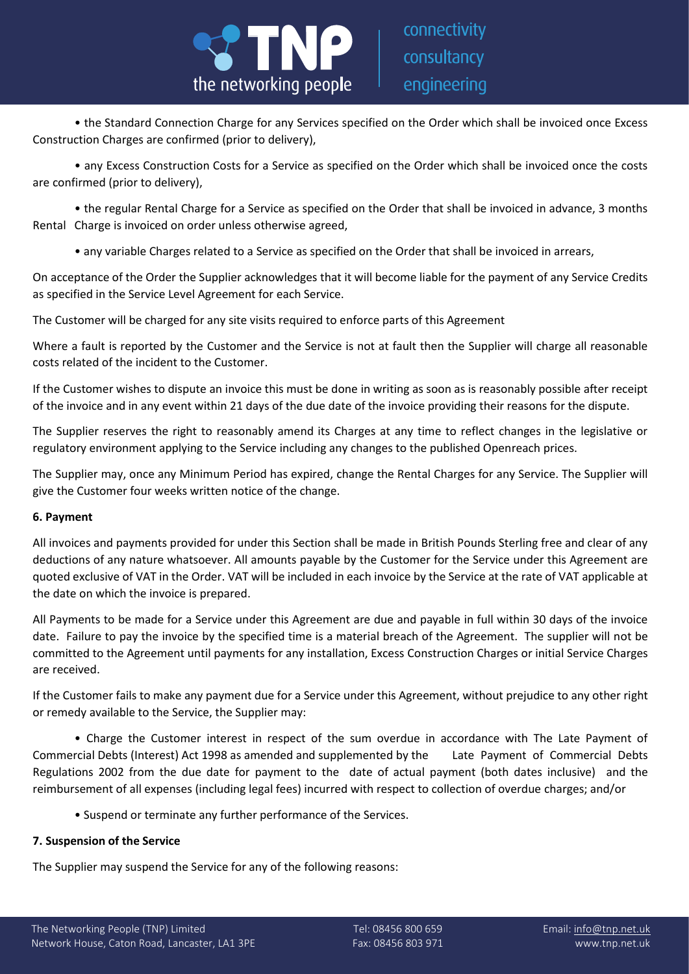

connectivity consultancy engineering

• the Standard Connection Charge for any Services specified on the Order which shall be invoiced once Excess Construction Charges are confirmed (prior to delivery),

• any Excess Construction Costs for a Service as specified on the Order which shall be invoiced once the costs are confirmed (prior to delivery),

• the regular Rental Charge for a Service as specified on the Order that shall be invoiced in advance, 3 months Rental Charge is invoiced on order unless otherwise agreed,

• any variable Charges related to a Service as specified on the Order that shall be invoiced in arrears,

On acceptance of the Order the Supplier acknowledges that it will become liable for the payment of any Service Credits as specified in the Service Level Agreement for each Service.

The Customer will be charged for any site visits required to enforce parts of this Agreement

Where a fault is reported by the Customer and the Service is not at fault then the Supplier will charge all reasonable costs related of the incident to the Customer.

If the Customer wishes to dispute an invoice this must be done in writing as soon as is reasonably possible after receipt of the invoice and in any event within 21 days of the due date of the invoice providing their reasons for the dispute.

The Supplier reserves the right to reasonably amend its Charges at any time to reflect changes in the legislative or regulatory environment applying to the Service including any changes to the published Openreach prices.

The Supplier may, once any Minimum Period has expired, change the Rental Charges for any Service. The Supplier will give the Customer four weeks written notice of the change.

# **6. Payment**

All invoices and payments provided for under this Section shall be made in British Pounds Sterling free and clear of any deductions of any nature whatsoever. All amounts payable by the Customer for the Service under this Agreement are quoted exclusive of VAT in the Order. VAT will be included in each invoice by the Service at the rate of VAT applicable at the date on which the invoice is prepared.

All Payments to be made for a Service under this Agreement are due and payable in full within 30 days of the invoice date. Failure to pay the invoice by the specified time is a material breach of the Agreement. The supplier will not be committed to the Agreement until payments for any installation, Excess Construction Charges or initial Service Charges are received.

If the Customer fails to make any payment due for a Service under this Agreement, without prejudice to any other right or remedy available to the Service, the Supplier may:

• Charge the Customer interest in respect of the sum overdue in accordance with The Late Payment of Commercial Debts (Interest) Act 1998 as amended and supplemented by the Late Payment of Commercial Debts Regulations 2002 from the due date for payment to the date of actual payment (both dates inclusive) and the reimbursement of all expenses (including legal fees) incurred with respect to collection of overdue charges; and/or

• Suspend or terminate any further performance of the Services.

# **7. Suspension of the Service**

The Supplier may suspend the Service for any of the following reasons: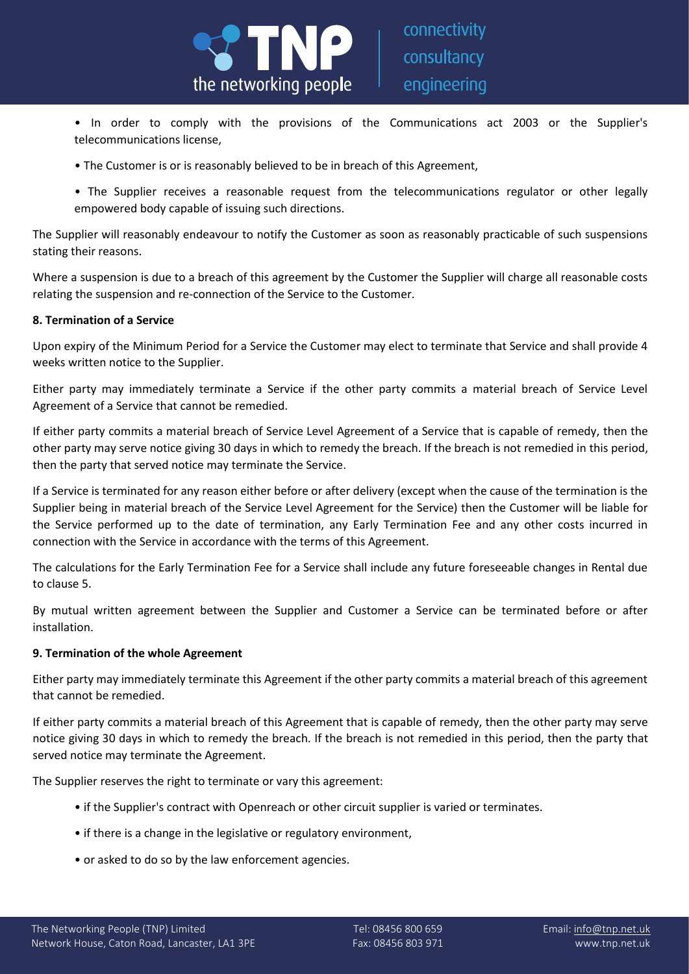

- In order to comply with the provisions of the Communications act 2003 or the Supplier's telecommunications license,
- The Customer is or is reasonably believed to be in breach of this Agreement,
- The Supplier receives a reasonable request from the telecommunications regulator or other legally empowered body capable of issuing such directions.

The Supplier will reasonably endeavour to notify the Customer as soon as reasonably practicable of such suspensions stating their reasons.

Where a suspension is due to a breach of this agreement by the Customer the Supplier will charge all reasonable costs relating the suspension and re-connection of the Service to the Customer.

# **8. Termination of a Service**

Upon expiry of the Minimum Period for a Service the Customer may elect to terminate that Service and shall provide 4 weeks written notice to the Supplier.

Either party may immediately terminate a Service if the other party commits a material breach of Service Level Agreement of a Service that cannot be remedied.

If either party commits a material breach of Service Level Agreement of a Service that is capable of remedy, then the other party may serve notice giving 30 days in which to remedy the breach. If the breach is not remedied in this period, then the party that served notice may terminate the Service.

If a Service is terminated for any reason either before or after delivery (except when the cause of the termination is the Supplier being in material breach of the Service Level Agreement for the Service) then the Customer will be liable for the Service performed up to the date of termination, any Early Termination Fee and any other costs incurred in connection with the Service in accordance with the terms of this Agreement.

The calculations for the Early Termination Fee for a Service shall include any future foreseeable changes in Rental due to clause 5.

By mutual written agreement between the Supplier and Customer a Service can be terminated before or after installation.

# **9. Termination of the whole Agreement**

Either party may immediately terminate this Agreement if the other party commits a material breach of this agreement that cannot be remedied.

If either party commits a material breach of this Agreement that is capable of remedy, then the other party may serve notice giving 30 days in which to remedy the breach. If the breach is not remedied in this period, then the party that served notice may terminate the Agreement.

The Supplier reserves the right to terminate or vary this agreement:

- if the Supplier's contract with Openreach or other circuit supplier is varied or terminates.
- if there is a change in the legislative or regulatory environment,
- or asked to do so by the law enforcement agencies.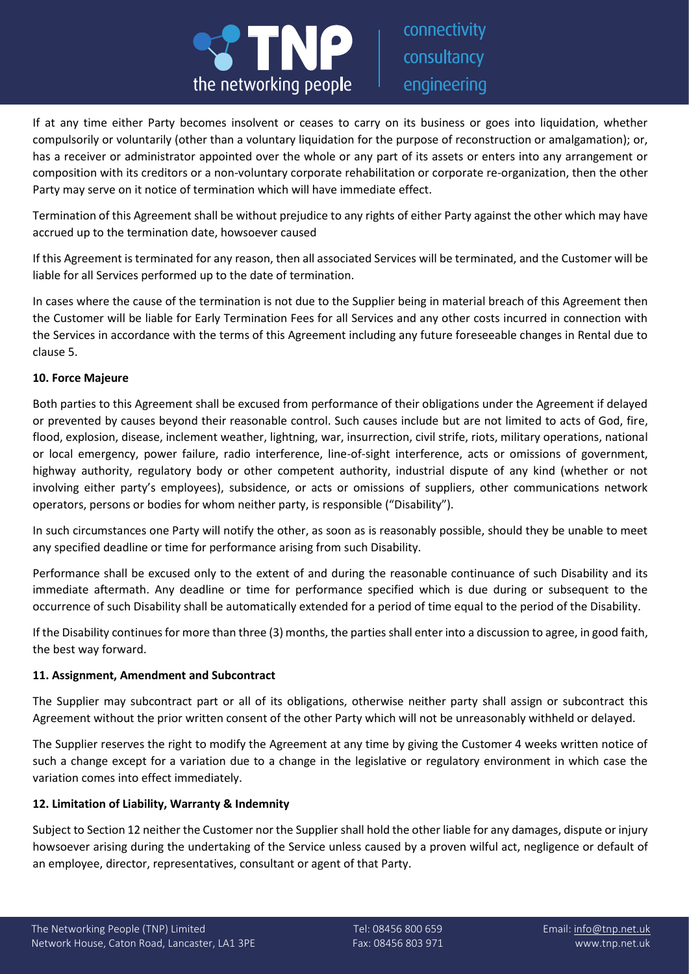

If at any time either Party becomes insolvent or ceases to carry on its business or goes into liquidation, whether compulsorily or voluntarily (other than a voluntary liquidation for the purpose of reconstruction or amalgamation); or, has a receiver or administrator appointed over the whole or any part of its assets or enters into any arrangement or composition with its creditors or a non-voluntary corporate rehabilitation or corporate re-organization, then the other Party may serve on it notice of termination which will have immediate effect.

Termination of this Agreement shall be without prejudice to any rights of either Party against the other which may have accrued up to the termination date, howsoever caused

If this Agreement is terminated for any reason, then all associated Services will be terminated, and the Customer will be liable for all Services performed up to the date of termination.

In cases where the cause of the termination is not due to the Supplier being in material breach of this Agreement then the Customer will be liable for Early Termination Fees for all Services and any other costs incurred in connection with the Services in accordance with the terms of this Agreement including any future foreseeable changes in Rental due to clause 5.

### **10. Force Majeure**

Both parties to this Agreement shall be excused from performance of their obligations under the Agreement if delayed or prevented by causes beyond their reasonable control. Such causes include but are not limited to acts of God, fire, flood, explosion, disease, inclement weather, lightning, war, insurrection, civil strife, riots, military operations, national or local emergency, power failure, radio interference, line-of-sight interference, acts or omissions of government, highway authority, regulatory body or other competent authority, industrial dispute of any kind (whether or not involving either party's employees), subsidence, or acts or omissions of suppliers, other communications network operators, persons or bodies for whom neither party, is responsible ("Disability").

In such circumstances one Party will notify the other, as soon as is reasonably possible, should they be unable to meet any specified deadline or time for performance arising from such Disability.

Performance shall be excused only to the extent of and during the reasonable continuance of such Disability and its immediate aftermath. Any deadline or time for performance specified which is due during or subsequent to the occurrence of such Disability shall be automatically extended for a period of time equal to the period of the Disability.

If the Disability continues for more than three (3) months, the parties shall enter into a discussion to agree, in good faith, the best way forward.

# **11. Assignment, Amendment and Subcontract**

The Supplier may subcontract part or all of its obligations, otherwise neither party shall assign or subcontract this Agreement without the prior written consent of the other Party which will not be unreasonably withheld or delayed.

The Supplier reserves the right to modify the Agreement at any time by giving the Customer 4 weeks written notice of such a change except for a variation due to a change in the legislative or regulatory environment in which case the variation comes into effect immediately.

### **12. Limitation of Liability, Warranty & Indemnity**

Subject to Section 12 neither the Customer nor the Supplier shall hold the other liable for any damages, dispute or injury howsoever arising during the undertaking of the Service unless caused by a proven wilful act, negligence or default of an employee, director, representatives, consultant or agent of that Party.